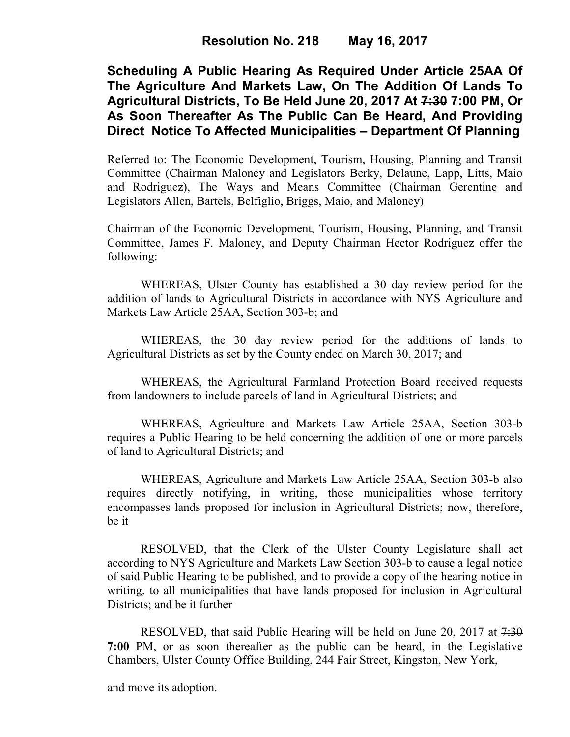**Scheduling A Public Hearing As Required Under Article 25AA Of The Agriculture And Markets Law, On The Addition Of Lands To Agricultural Districts, To Be Held June 20, 2017 At 7:30 7:00 PM, Or As Soon Thereafter As The Public Can Be Heard, And Providing Direct Notice To Affected Municipalities – Department Of Planning** 

Referred to: The Economic Development, Tourism, Housing, Planning and Transit Committee (Chairman Maloney and Legislators Berky, Delaune, Lapp, Litts, Maio and Rodriguez), The Ways and Means Committee (Chairman Gerentine and Legislators Allen, Bartels, Belfiglio, Briggs, Maio, and Maloney)

Chairman of the Economic Development, Tourism, Housing, Planning, and Transit Committee, James F. Maloney, and Deputy Chairman Hector Rodriguez offer the following:

WHEREAS, Ulster County has established a 30 day review period for the addition of lands to Agricultural Districts in accordance with NYS Agriculture and Markets Law Article 25AA, Section 303-b; and

WHEREAS, the 30 day review period for the additions of lands to Agricultural Districts as set by the County ended on March 30, 2017; and

WHEREAS, the Agricultural Farmland Protection Board received requests from landowners to include parcels of land in Agricultural Districts; and

WHEREAS, Agriculture and Markets Law Article 25AA, Section 303-b requires a Public Hearing to be held concerning the addition of one or more parcels of land to Agricultural Districts; and

WHEREAS, Agriculture and Markets Law Article 25AA, Section 303-b also requires directly notifying, in writing, those municipalities whose territory encompasses lands proposed for inclusion in Agricultural Districts; now, therefore, be it

RESOLVED, that the Clerk of the Ulster County Legislature shall act according to NYS Agriculture and Markets Law Section 303-b to cause a legal notice of said Public Hearing to be published, and to provide a copy of the hearing notice in writing, to all municipalities that have lands proposed for inclusion in Agricultural Districts; and be it further

RESOLVED, that said Public Hearing will be held on June 20, 2017 at 7:30 **7:00** PM, or as soon thereafter as the public can be heard, in the Legislative Chambers, Ulster County Office Building, 244 Fair Street, Kingston, New York,

and move its adoption.